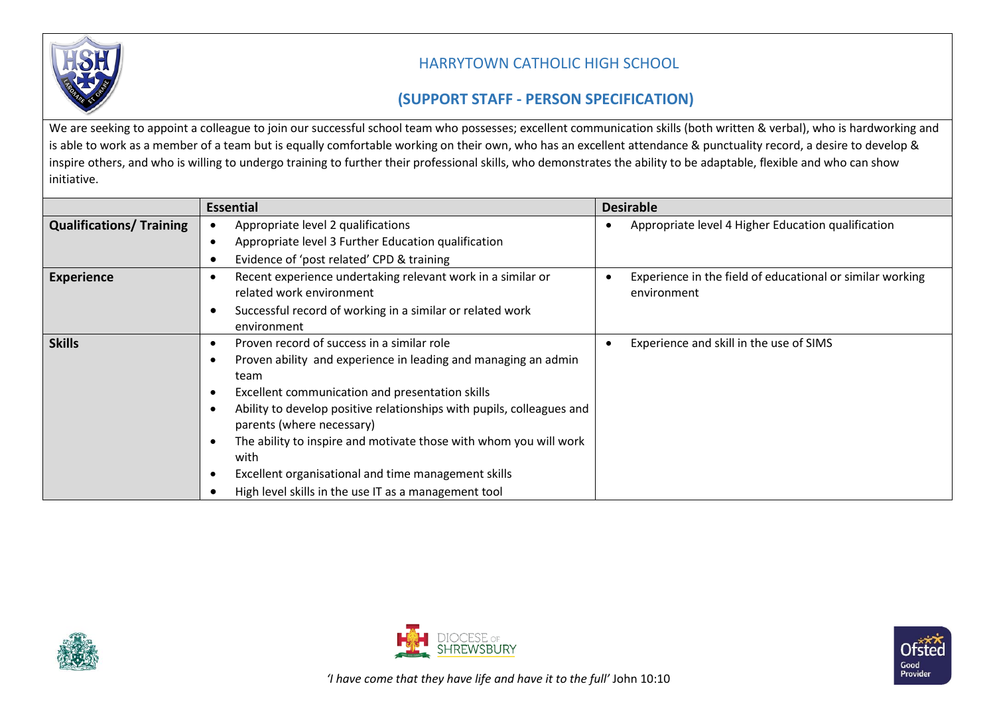

## HARRYTOWN CATHOLIC HIGH SCHOOL

## **(SUPPORT STAFF - PERSON SPECIFICATION)**

We are seeking to appoint a colleague to join our successful school team who possesses; excellent communication skills (both written & verbal), who is hardworking and is able to work as a member of a team but is equally comfortable working on their own, who has an excellent attendance & punctuality record, a desire to develop & inspire others, and who is willing to undergo training to further their professional skills, who demonstrates the ability to be adaptable, flexible and who can show initiative.

|                                 | <b>Essential</b>                                                          | <b>Desirable</b>                                          |
|---------------------------------|---------------------------------------------------------------------------|-----------------------------------------------------------|
| <b>Qualifications/ Training</b> | Appropriate level 2 qualifications                                        | Appropriate level 4 Higher Education qualification        |
|                                 | Appropriate level 3 Further Education qualification<br>$\bullet$          |                                                           |
|                                 | Evidence of 'post related' CPD & training                                 |                                                           |
| <b>Experience</b>               | Recent experience undertaking relevant work in a similar or               | Experience in the field of educational or similar working |
|                                 | related work environment                                                  | environment                                               |
|                                 | Successful record of working in a similar or related work                 |                                                           |
|                                 | environment                                                               |                                                           |
| <b>Skills</b>                   | Proven record of success in a similar role                                | Experience and skill in the use of SIMS                   |
|                                 | Proven ability and experience in leading and managing an admin            |                                                           |
|                                 | team                                                                      |                                                           |
|                                 | Excellent communication and presentation skills                           |                                                           |
|                                 | Ability to develop positive relationships with pupils, colleagues and     |                                                           |
|                                 | parents (where necessary)                                                 |                                                           |
|                                 | The ability to inspire and motivate those with whom you will work<br>with |                                                           |
|                                 | Excellent organisational and time management skills                       |                                                           |
|                                 | High level skills in the use IT as a management tool                      |                                                           |





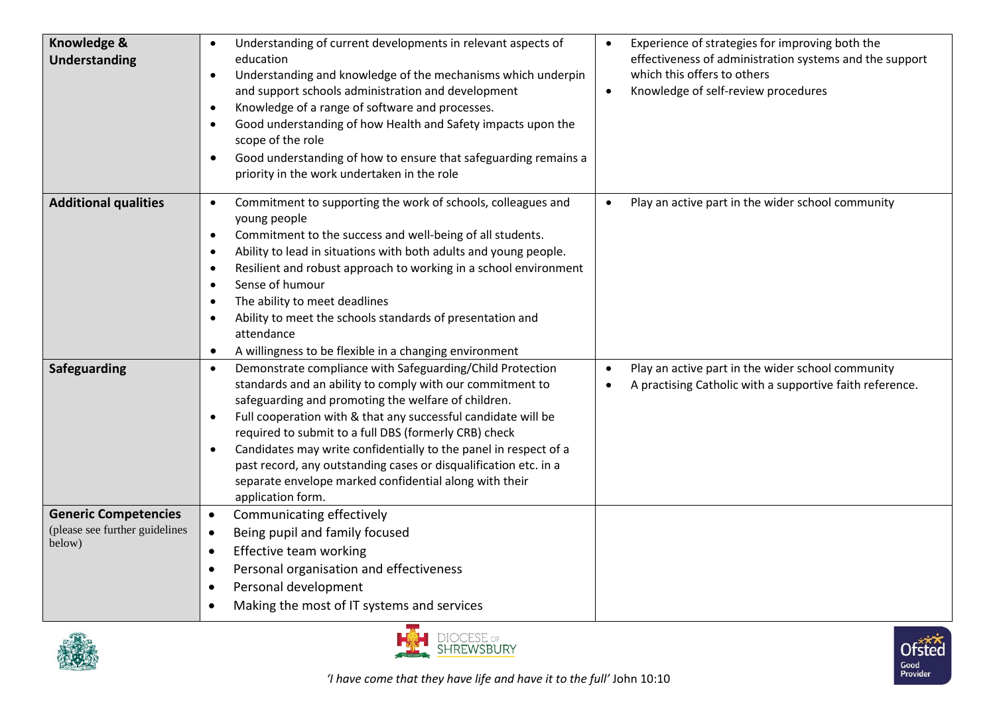| <b>Knowledge &amp;</b><br>Understanding                                 | Understanding of current developments in relevant aspects of<br>education<br>Understanding and knowledge of the mechanisms which underpin<br>$\bullet$<br>and support schools administration and development<br>Knowledge of a range of software and processes.<br>$\bullet$<br>Good understanding of how Health and Safety impacts upon the<br>$\bullet$<br>scope of the role<br>Good understanding of how to ensure that safeguarding remains a<br>$\bullet$<br>priority in the work undertaken in the role                                                                      | Experience of strategies for improving both the<br>effectiveness of administration systems and the support<br>which this offers to others<br>Knowledge of self-review procedures<br>$\bullet$ |
|-------------------------------------------------------------------------|------------------------------------------------------------------------------------------------------------------------------------------------------------------------------------------------------------------------------------------------------------------------------------------------------------------------------------------------------------------------------------------------------------------------------------------------------------------------------------------------------------------------------------------------------------------------------------|-----------------------------------------------------------------------------------------------------------------------------------------------------------------------------------------------|
| <b>Additional qualities</b>                                             | Commitment to supporting the work of schools, colleagues and<br>$\bullet$<br>young people<br>Commitment to the success and well-being of all students.<br>$\bullet$<br>Ability to lead in situations with both adults and young people.<br>$\bullet$<br>Resilient and robust approach to working in a school environment<br>$\bullet$<br>Sense of humour<br>$\bullet$<br>The ability to meet deadlines<br>$\bullet$<br>Ability to meet the schools standards of presentation and<br>$\bullet$<br>attendance<br>A willingness to be flexible in a changing environment<br>$\bullet$ | Play an active part in the wider school community<br>$\bullet$                                                                                                                                |
| Safeguarding                                                            | Demonstrate compliance with Safeguarding/Child Protection<br>$\bullet$<br>standards and an ability to comply with our commitment to<br>safeguarding and promoting the welfare of children.<br>Full cooperation with & that any successful candidate will be<br>$\bullet$<br>required to submit to a full DBS (formerly CRB) check<br>Candidates may write confidentially to the panel in respect of a<br>$\bullet$<br>past record, any outstanding cases or disqualification etc. in a<br>separate envelope marked confidential along with their<br>application form.              | Play an active part in the wider school community<br>$\bullet$<br>A practising Catholic with a supportive faith reference.<br>$\bullet$                                                       |
| <b>Generic Competencies</b><br>(please see further guidelines<br>below) | Communicating effectively<br>$\bullet$<br>Being pupil and family focused<br>Effective team working<br>$\bullet$<br>Personal organisation and effectiveness<br>$\bullet$<br>Personal development<br>$\bullet$<br>Making the most of IT systems and services                                                                                                                                                                                                                                                                                                                         |                                                                                                                                                                                               |



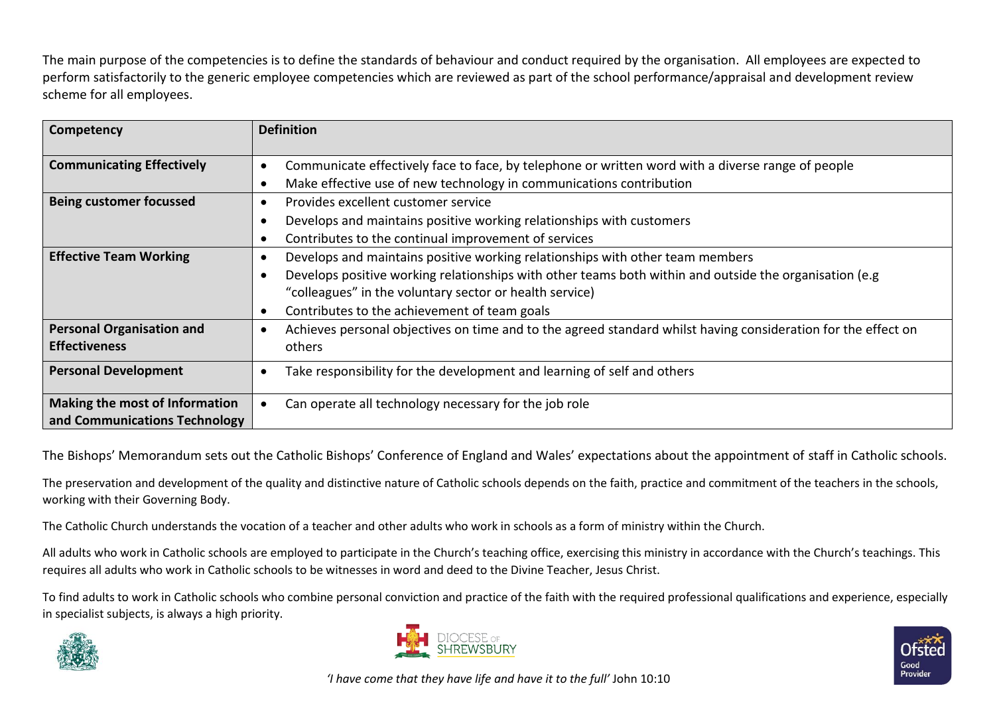The main purpose of the competencies is to define the standards of behaviour and conduct required by the organisation. All employees are expected to perform satisfactorily to the generic employee competencies which are reviewed as part of the school performance/appraisal and development review scheme for all employees.

| <b>Competency</b>                                               | <b>Definition</b>                                                                                                                                                                                                                                                                                                |
|-----------------------------------------------------------------|------------------------------------------------------------------------------------------------------------------------------------------------------------------------------------------------------------------------------------------------------------------------------------------------------------------|
| <b>Communicating Effectively</b>                                | Communicate effectively face to face, by telephone or written word with a diverse range of people<br>Make effective use of new technology in communications contribution                                                                                                                                         |
| <b>Being customer focussed</b>                                  | Provides excellent customer service<br>$\bullet$<br>Develops and maintains positive working relationships with customers<br>Contributes to the continual improvement of services                                                                                                                                 |
| <b>Effective Team Working</b>                                   | Develops and maintains positive working relationships with other team members<br>Develops positive working relationships with other teams both within and outside the organisation (e.g.<br>"colleagues" in the voluntary sector or health service)<br>Contributes to the achievement of team goals<br>$\bullet$ |
| <b>Personal Organisation and</b><br><b>Effectiveness</b>        | Achieves personal objectives on time and to the agreed standard whilst having consideration for the effect on<br>others                                                                                                                                                                                          |
| <b>Personal Development</b>                                     | Take responsibility for the development and learning of self and others                                                                                                                                                                                                                                          |
| Making the most of Information<br>and Communications Technology | Can operate all technology necessary for the job role                                                                                                                                                                                                                                                            |

The Bishops' Memorandum sets out the Catholic Bishops' Conference of England and Wales' expectations about the appointment of staff in Catholic schools.

The preservation and development of the quality and distinctive nature of Catholic schools depends on the faith, practice and commitment of the teachers in the schools, working with their Governing Body.

The Catholic Church understands the vocation of a teacher and other adults who work in schools as a form of ministry within the Church.

All adults who work in Catholic schools are employed to participate in the Church's teaching office, exercising this ministry in accordance with the Church's teachings. This requires all adults who work in Catholic schools to be witnesses in word and deed to the Divine Teacher, Jesus Christ.

To find adults to work in Catholic schools who combine personal conviction and practice of the faith with the required professional qualifications and experience, especially in specialist subjects, is always a high priority.







*'I have come that they have life and have it to the full'* John 10:10